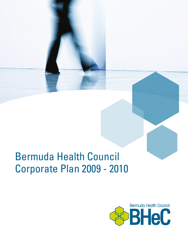# Bermuda Health Council Corporate Plan 2009 - 2010

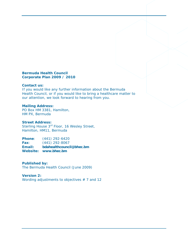#### **Bermuda Health Council Corporate Plan 2009 / 2010**

#### **Contact us:**

If you would like any further information about the Bermuda Health Council, or if you would like to bring a healthcare matter to our attention, we look forward to hearing from you.

#### **Mailing Address:**

PO Box HM 3381, Hamilton, HM PX, Bermuda

#### **Street Address:**

Sterling House 3<sup>rd</sup> Floor, 16 Wesley Street, Hamilton, HM11, Bermuda

**Phone**: (441) 292-6420 **Fax**: (441) 292-8067 **Email: [bdahealthcouncil@bhec.bm](mailto:bdahealthcouncil@bhec.bm) Website: [www.bhec.bm](http://www.bhec.bm/)**

#### **Published by:**

The Bermuda Health Council (June 2009)

#### **Version 2:**

*Wording adjustments to objectives # 7 and 12*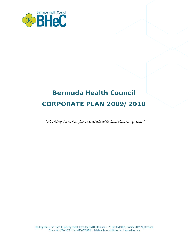

## **Bermuda Health Council CORPORATE PLAN 2009/2010**

*"Working together for a sustainable healthcare system"*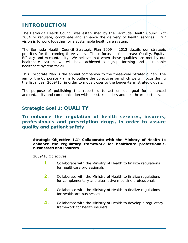## **INTRODUCTION**

The Bermuda Health Council was established by the Bermuda Health Council Act 2004 to regulate, coordinate and enhance the delivery of health services. Our vision is to work together for a sustainable healthcare system.

The Bermuda Health Council Strategic Plan 2009 – 2012 details our strategic priorities for the coming three years. These focus on four areas: Quality, Equity, Efficacy and Accountability. We believe that when these qualities are met by our healthcare system, we will have achieved a high-performing and sustainable healthcare system for all.

This Corporate Plan is the annual companion to the three-year Strategic Plan. The aim of the Corporate Plan is to outline the objectives on which we will focus during the fiscal year 2009/10, in order to move closer to the longer-term strategic goals.

The purpose of publishing this report is to act on our goal for enhanced accountability and communication with our stakeholders and healthcare partners.

## **Strategic Goal 1: QUALITY**

**To enhance the regulation of health services, insurers, professionals and prescription drugs, in order to assure quality and patient safety** 

#### **Strategic Objective 1.1) Collaborate with the Ministry of Health to enhance the regulatory framework for healthcare professionals, businesses and insurers**

*2009/10 Objectives* 

- **1.** Collaborate with the Ministry of Health to finalize regulations for healthcare professionals
- **2.** Collaborate with the Ministry of Health to finalize regulations for complementary and alternative medicine professionals
- **3.** Collaborate with the Ministry of Health to finalize regulations for healthcare businesses
- **4.** Collaborate with the Ministry of Health to develop a regulatory framework for health insurers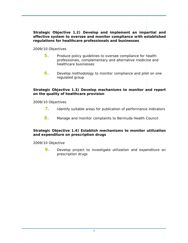**Strategic Objective 1.2) Develop and implement an impartial and effective system to oversee and monitor compliance with established regulations for healthcare professionals and businesses** 

#### *2009/10 Objectives*

- **5.** Produce policy guidelines to oversee compliance for health professionals, complementary and alternative medicine and healthcare businesses
- **6.** Develop methodology to monitor compliance and pilot on one regulated group

#### **Strategic Objective 1.3) Develop mechanisms to monitor and report on the quality of healthcare provision**

#### *2009/10 Objectives*

- **7.** Identify suitable areas for publication of performance indicators
- **8.** Manage and monitor complaints to Bermuda Health Council

#### **Strategic Objective 1.4) Establish mechanisms to monitor utilization and expenditure on prescription drugs**

*2009/10 Objective* 

**9.** Develop project to investigate utilization and expenditure on prescription drugs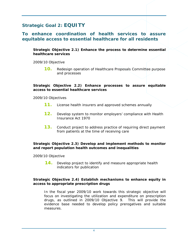## **Strategic Goal 2: EQUITY**

## **To enhance coordination of health services to assure equitable access to essential healthcare for all residents**

**Strategic Objective 2.1) Enhance the process to determine essential healthcare services** 

*2009/10 Objective* 

**10.** Redesign operation of Healthcare Proposals Committee purpose and processes

#### **Strategic Objective 2.2) Enhance processes to assure equitable access to essential healthcare services**

#### *2009/10 Objectives*

- **11.** License health insurers and approved schemes annually
- **12.** Develop system to monitor employers' compliance with Health Insurance Act 1970
- **13.** Conduct project to address practice of requiring direct payment from patients at the time of receiving care

#### **Strategic Objective 2.3) Develop and implement methods to monitor and report population health outcomes and inequalities**

*2009/10 Objective* 

**14.** Develop project to identify and measure appropriate health indicators for publication

#### **Strategic Objective 2.4) Establish mechanisms to enhance equity in access to appropriate prescription drugs**

In the fiscal year 2009/10 work towards this strategic objective will focus on investigating the utilization and expenditure on prescription drugs, as outlined in *2009/10 Objective 9*. This will provide the evidence base needed to develop policy prerogatives and suitable measures.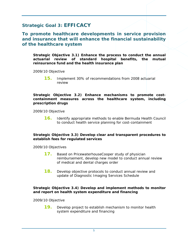## **Strategic Goal 3: EFFICACY**

## **To promote healthcare developments in service provision and insurance that will enhance the financial sustainability of the healthcare system**

**Strategic Objective 3.1) Enhance the process to conduct the annual actuarial review of standard hospital benefits, the mutual reinsurance fund and the health insurance plan** 

*2009/10 Objective* 

**15.** Implement 30% of recommendations from 2008 actuarial review

#### **Strategic Objective 3.2) Enhance mechanisms to promote costcontainment measures across the healthcare system, including prescription drugs**

*2009/10 Objective* 

**16.** Identify appropriate methods to enable Bermuda Health Council to conduct health service planning for cost-containment

#### **Strategic Objective 3.3) Develop clear and transparent procedures to establish fees for regulated services**

*2009/10 Objectives* 

- **17.** Based on PricewaterhouseCooper study of physician reimbursement, develop new model to conduct annual review of medical and dental charges order
- **18.** Develop objective protocols to conduct annual review and update of Diagnostic Imaging Services Schedule

#### **Strategic Objective 3.4) Develop and implement methods to monitor and report on health system expenditure and financing**

#### *2009/10 Objective*

**19.** Develop project to establish mechanism to monitor health system expenditure and financing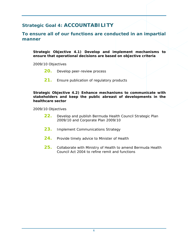## **Strategic Goal 4: ACCOUNTABILITY**

### **To ensure all of our functions are conducted in an impartial manner**

**Strategic Objective 4.1) Develop and implement mechanisms to ensure that operational decisions are based on objective criteria** 

*2009/10 Objectives* 

- **20.** Develop peer-review process
- **21.** Ensure publication of regulatory products

#### **Strategic Objective 4.2) Enhance mechanisms to communicate with stakeholders and keep the public abreast of developments in the healthcare sector**

*2009/10 Objectives* 

- **22.** Develop and publish Bermuda Health Council Strategic Plan 2009/10 and Corporate Plan 2009/10
- **23.** Implement Communications Strategy
- 24. Provide timely advice to Minister of Health
- **25.** Collaborate with Ministry of Health to amend Bermuda Health Council Act 2004 to refine remit and functions